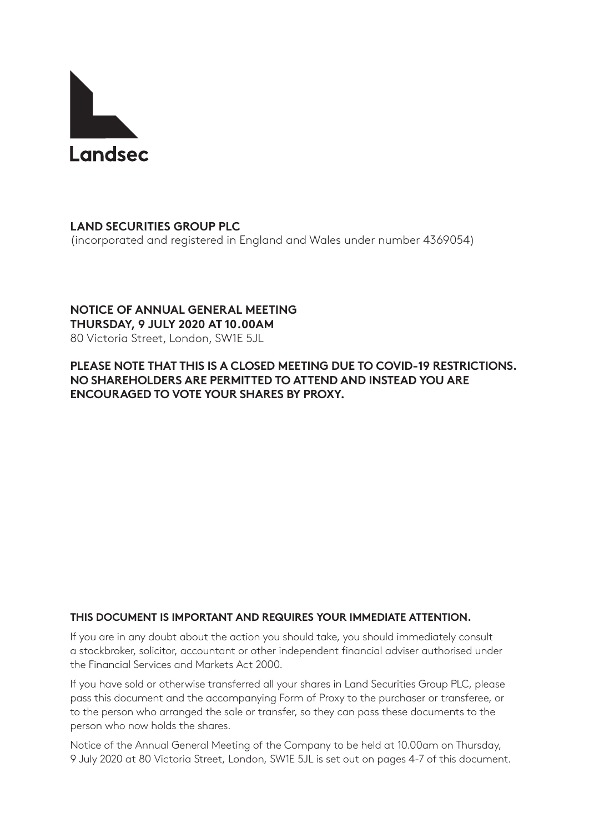

# **LAND SECURITIES GROUP PLC**

(incorporated and registered in England and Wales under number 4369054)

## **NOTICE OF ANNUAL GENERAL MEETING**

**THURSDAY, 9 JULY 2020 AT 10.00AM** 80 Victoria Street, London, SW1E 5JL

### **PLEASE NOTE THAT THIS IS A CLOSED MEETING DUE TO COVID-19 RESTRICTIONS. NO SHAREHOLDERS ARE PERMITTED TO ATTEND AND INSTEAD YOU ARE ENCOURAGED TO VOTE YOUR SHARES BY PROXY.**

### **THIS DOCUMENT IS IMPORTANT AND REQUIRES YOUR IMMEDIATE ATTENTION.**

If you are in any doubt about the action you should take, you should immediately consult a stockbroker, solicitor, accountant or other independent financial adviser authorised under the Financial Services and Markets Act 2000.

If you have sold or otherwise transferred all your shares in Land Securities Group PLC, please pass this document and the accompanying Form of Proxy to the purchaser or transferee, or to the person who arranged the sale or transfer, so they can pass these documents to the person who now holds the shares.

Notice of the Annual General Meeting of the Company to be held at 10.00am on Thursday, 9 July 2020 at 80 Victoria Street, London, SW1E 5JL is set out on pages 4-7 of this document.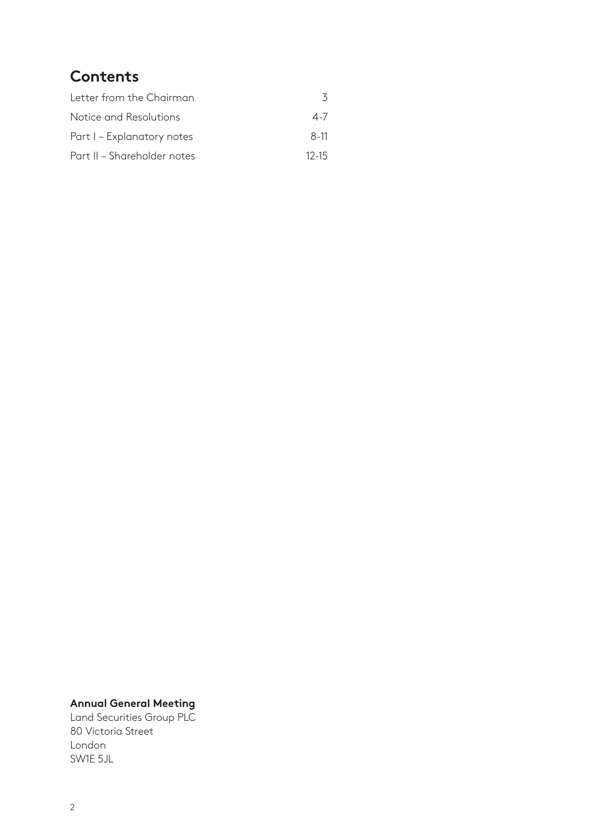## **Contents**

| Letter from the Chairman    |           |
|-----------------------------|-----------|
| Notice and Resolutions      | $4 - 7$   |
| Part I – Explanatory notes  | $8-11$    |
| Part II – Shareholder notes | $12 - 15$ |

#### **Annual General Meeting**

Land Securities Group PLC 80 Victoria Street London SW1E 5JL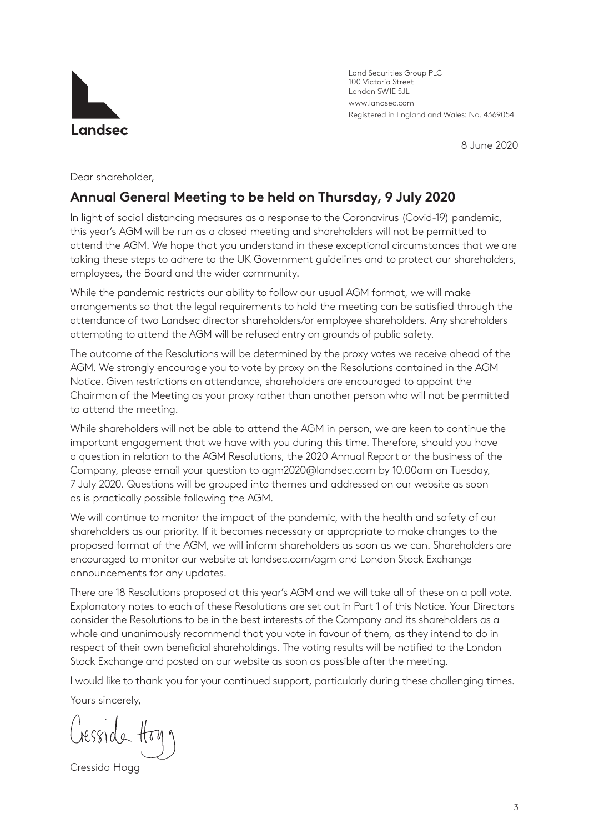

Land Securities Group PLC 100 Victoria Street London SW1E 5JL www.landsec.com Registered in England and Wales: No. 4369054

8 June 2020

Dear shareholder,

### **Annual General Meeting to be held on Thursday, 9 July 2020**

In light of social distancing measures as a response to the Coronavirus (Covid-19) pandemic, this year's AGM will be run as a closed meeting and shareholders will not be permitted to attend the AGM. We hope that you understand in these exceptional circumstances that we are taking these steps to adhere to the UK Government guidelines and to protect our shareholders, employees, the Board and the wider community.

While the pandemic restricts our ability to follow our usual AGM format, we will make arrangements so that the legal requirements to hold the meeting can be satisfied through the attendance of two Landsec director shareholders/or employee shareholders. Any shareholders attempting to attend the AGM will be refused entry on grounds of public safety.

The outcome of the Resolutions will be determined by the proxy votes we receive ahead of the AGM. We strongly encourage you to vote by proxy on the Resolutions contained in the AGM Notice. Given restrictions on attendance, shareholders are encouraged to appoint the Chairman of the Meeting as your proxy rather than another person who will not be permitted to attend the meeting.

While shareholders will not be able to attend the AGM in person, we are keen to continue the important engagement that we have with you during this time. Therefore, should you have a question in relation to the AGM Resolutions, the 2020 Annual Report or the business of the Company, please email your question to agm2020@landsec.com by 10.00am on Tuesday, 7 July 2020. Questions will be grouped into themes and addressed on our website as soon as is practically possible following the AGM.

We will continue to monitor the impact of the pandemic, with the health and safety of our shareholders as our priority. If it becomes necessary or appropriate to make changes to the proposed format of the AGM, we will inform shareholders as soon as we can. Shareholders are encouraged to monitor our website at landsec.com/agm and London Stock Exchange announcements for any updates.

There are 18 Resolutions proposed at this year's AGM and we will take all of these on a poll vote. Explanatory notes to each of these Resolutions are set out in Part 1 of this Notice. Your Directors consider the Resolutions to be in the best interests of the Company and its shareholders as a whole and unanimously recommend that you vote in favour of them, as they intend to do in respect of their own beneficial shareholdings. The voting results will be notified to the London Stock Exchange and posted on our website as soon as possible after the meeting.

I would like to thank you for your continued support, particularly during these challenging times.

Yours sincerely,

Cressida Hogg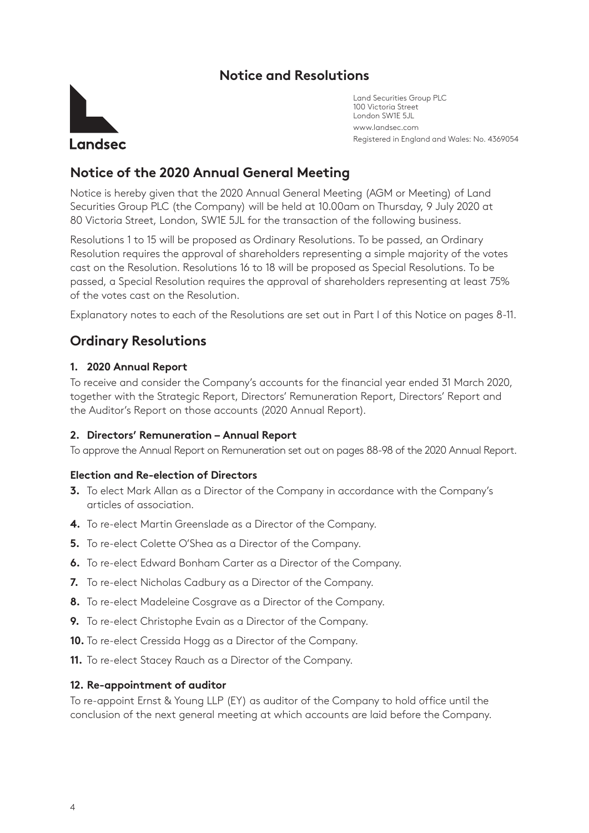### **Notice and Resolutions**



Land Securities Group PLC 100 Victoria Street London SW1E 5JL www.landsec.com Registered in England and Wales: No. 4369054

### **Notice of the 2020 Annual General Meeting**

Notice is hereby given that the 2020 Annual General Meeting (AGM or Meeting) of Land Securities Group PLC (the Company) will be held at 10.00am on Thursday, 9 July 2020 at 80 Victoria Street, London, SW1E 5JL for the transaction of the following business.

Resolutions 1 to 15 will be proposed as Ordinary Resolutions. To be passed, an Ordinary Resolution requires the approval of shareholders representing a simple majority of the votes cast on the Resolution. Resolutions 16 to 18 will be proposed as Special Resolutions. To be passed, a Special Resolution requires the approval of shareholders representing at least 75% of the votes cast on the Resolution.

Explanatory notes to each of the Resolutions are set out in Part I of this Notice on pages 8-11.

## **Ordinary Resolutions**

#### **1. 2020 Annual Report**

To receive and consider the Company's accounts for the financial year ended 31 March 2020, together with the Strategic Report, Directors' Remuneration Report, Directors' Report and the Auditor's Report on those accounts (2020 Annual Report).

#### **2. Directors' Remuneration – Annual Report**

To approve the Annual Report on Remuneration set out on pages 88-98 of the 2020 Annual Report.

#### **Election and Re-election of Directors**

- **3.** To elect Mark Allan as a Director of the Company in accordance with the Company's articles of association.
- **4.** To re-elect Martin Greenslade as a Director of the Company.
- **5.** To re-elect Colette O'Shea as a Director of the Company.
- **6.** To re-elect Edward Bonham Carter as a Director of the Company.
- **7.** To re-elect Nicholas Cadbury as a Director of the Company.
- **8.** To re-elect Madeleine Cosgrave as a Director of the Company.
- **9.** To re-elect Christophe Evain as a Director of the Company.
- **10.** To re-elect Cressida Hogg as a Director of the Company.
- **11.** To re-elect Stacey Rauch as a Director of the Company.

#### **12. Re-appointment of auditor**

To re-appoint Ernst & Young LLP (EY) as auditor of the Company to hold office until the conclusion of the next general meeting at which accounts are laid before the Company.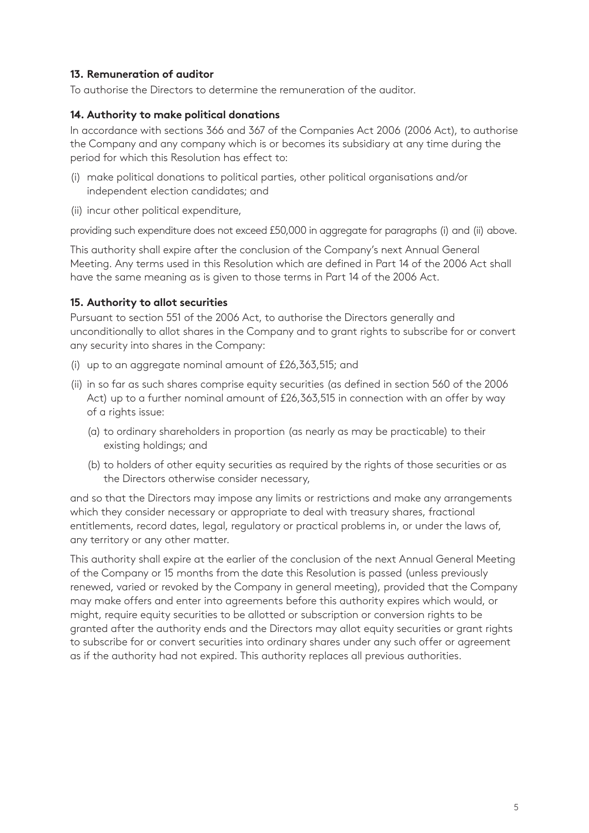#### **13. Remuneration of auditor**

To authorise the Directors to determine the remuneration of the auditor.

#### **14. Authority to make political donations**

In accordance with sections 366 and 367 of the Companies Act 2006 (2006 Act), to authorise the Company and any company which is or becomes its subsidiary at any time during the period for which this Resolution has effect to:

- (i) make political donations to political parties, other political organisations and/or independent election candidates; and
- (ii) incur other political expenditure,

providing such expenditure does not exceed £50,000 in aggregate for paragraphs (i) and (ii) above.

This authority shall expire after the conclusion of the Company's next Annual General Meeting. Any terms used in this Resolution which are defined in Part 14 of the 2006 Act shall have the same meaning as is given to those terms in Part 14 of the 2006 Act.

#### **15. Authority to allot securities**

Pursuant to section 551 of the 2006 Act, to authorise the Directors generally and unconditionally to allot shares in the Company and to grant rights to subscribe for or convert any security into shares in the Company:

- (i) up to an aggregate nominal amount of £26,363,515; and
- (ii) in so far as such shares comprise equity securities (as defined in section 560 of the 2006 Act) up to a further nominal amount of £26,363,515 in connection with an offer by way of a rights issue:
	- (a) to ordinary shareholders in proportion (as nearly as may be practicable) to their existing holdings; and
	- (b) to holders of other equity securities as required by the rights of those securities or as the Directors otherwise consider necessary,

and so that the Directors may impose any limits or restrictions and make any arrangements which they consider necessary or appropriate to deal with treasury shares, fractional entitlements, record dates, legal, regulatory or practical problems in, or under the laws of, any territory or any other matter.

This authority shall expire at the earlier of the conclusion of the next Annual General Meeting of the Company or 15 months from the date this Resolution is passed (unless previously renewed, varied or revoked by the Company in general meeting), provided that the Company may make offers and enter into agreements before this authority expires which would, or might, require equity securities to be allotted or subscription or conversion rights to be granted after the authority ends and the Directors may allot equity securities or grant rights to subscribe for or convert securities into ordinary shares under any such offer or agreement as if the authority had not expired. This authority replaces all previous authorities.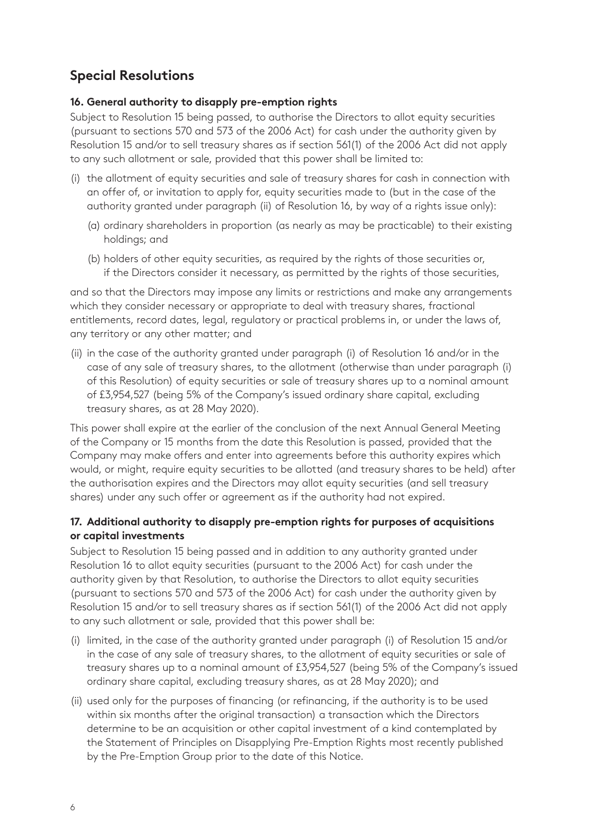## **Special Resolutions**

#### **16. General authority to disapply pre-emption rights**

Subject to Resolution 15 being passed, to authorise the Directors to allot equity securities (pursuant to sections 570 and 573 of the 2006 Act) for cash under the authority given by Resolution 15 and/or to sell treasury shares as if section 561(1) of the 2006 Act did not apply to any such allotment or sale, provided that this power shall be limited to:

- (i) the allotment of equity securities and sale of treasury shares for cash in connection with an offer of, or invitation to apply for, equity securities made to (but in the case of the authority granted under paragraph (ii) of Resolution 16, by way of a rights issue only):
	- (a) ordinary shareholders in proportion (as nearly as may be practicable) to their existing holdings; and
	- (b) holders of other equity securities, as required by the rights of those securities or, if the Directors consider it necessary, as permitted by the rights of those securities,

and so that the Directors may impose any limits or restrictions and make any arrangements which they consider necessary or appropriate to deal with treasury shares, fractional entitlements, record dates, legal, regulatory or practical problems in, or under the laws of, any territory or any other matter; and

(ii) in the case of the authority granted under paragraph (i) of Resolution 16 and/or in the case of any sale of treasury shares, to the allotment (otherwise than under paragraph (i) of this Resolution) of equity securities or sale of treasury shares up to a nominal amount of £3,954,527 (being 5% of the Company's issued ordinary share capital, excluding treasury shares, as at 28 May 2020).

This power shall expire at the earlier of the conclusion of the next Annual General Meeting of the Company or 15 months from the date this Resolution is passed, provided that the Company may make offers and enter into agreements before this authority expires which would, or might, require equity securities to be allotted (and treasury shares to be held) after the authorisation expires and the Directors may allot equity securities (and sell treasury shares) under any such offer or agreement as if the authority had not expired.

#### **17. Additional authority to disapply pre-emption rights for purposes of acquisitions or capital investments**

Subject to Resolution 15 being passed and in addition to any authority granted under Resolution 16 to allot equity securities (pursuant to the 2006 Act) for cash under the authority given by that Resolution, to authorise the Directors to allot equity securities (pursuant to sections 570 and 573 of the 2006 Act) for cash under the authority given by Resolution 15 and/or to sell treasury shares as if section 561(1) of the 2006 Act did not apply to any such allotment or sale, provided that this power shall be:

- (i) limited, in the case of the authority granted under paragraph (i) of Resolution 15 and/or in the case of any sale of treasury shares, to the allotment of equity securities or sale of treasury shares up to a nominal amount of £3,954,527 (being 5% of the Company's issued ordinary share capital, excluding treasury shares, as at 28 May 2020); and
- (ii) used only for the purposes of financing (or refinancing, if the authority is to be used within six months after the original transaction) a transaction which the Directors determine to be an acquisition or other capital investment of a kind contemplated by the Statement of Principles on Disapplying Pre-Emption Rights most recently published by the Pre-Emption Group prior to the date of this Notice.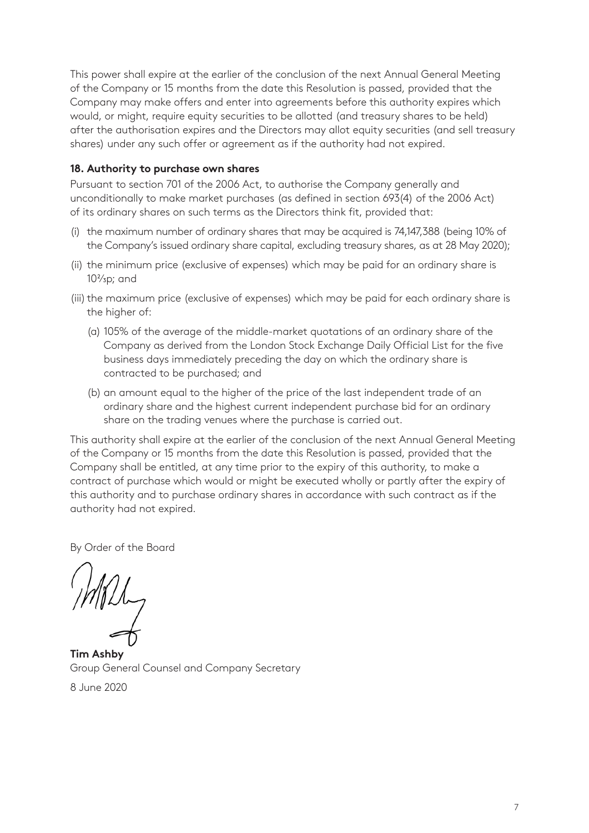This power shall expire at the earlier of the conclusion of the next Annual General Meeting of the Company or 15 months from the date this Resolution is passed, provided that the Company may make offers and enter into agreements before this authority expires which would, or might, require equity securities to be allotted (and treasury shares to be held) after the authorisation expires and the Directors may allot equity securities (and sell treasury shares) under any such offer or agreement as if the authority had not expired.

#### **18. Authority to purchase own shares**

Pursuant to section 701 of the 2006 Act, to authorise the Company generally and unconditionally to make market purchases (as defined in section 693(4) of the 2006 Act) of its ordinary shares on such terms as the Directors think fit, provided that:

- (i) the maximum number of ordinary shares that may be acquired is 74,147,388 (being 10% of the Company's issued ordinary share capital, excluding treasury shares, as at 28 May 2020);
- (ii) the minimum price (exclusive of expenses) which may be paid for an ordinary share is  $10<sup>2</sup>/3p$ ; and
- (iii) the maximum price (exclusive of expenses) which may be paid for each ordinary share is the higher of:
	- (a) 105% of the average of the middle-market quotations of an ordinary share of the Company as derived from the London Stock Exchange Daily Official List for the five business days immediately preceding the day on which the ordinary share is contracted to be purchased; and
	- (b) an amount equal to the higher of the price of the last independent trade of an ordinary share and the highest current independent purchase bid for an ordinary share on the trading venues where the purchase is carried out.

This authority shall expire at the earlier of the conclusion of the next Annual General Meeting of the Company or 15 months from the date this Resolution is passed, provided that the Company shall be entitled, at any time prior to the expiry of this authority, to make a contract of purchase which would or might be executed wholly or partly after the expiry of this authority and to purchase ordinary shares in accordance with such contract as if the authority had not expired.

By Order of the Board

**Tim Ashby**  Group General Counsel and Company Secretary 8 June 2020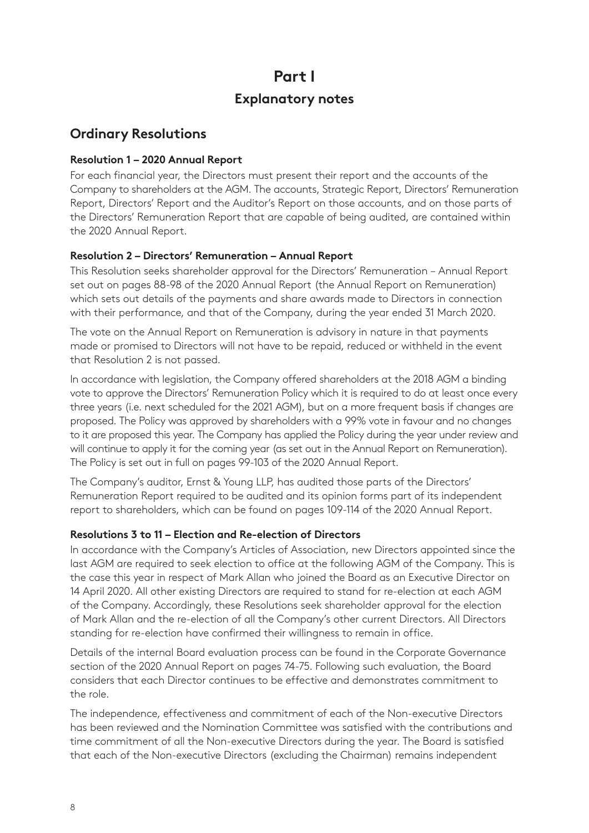# **Part I Explanatory notes**

### **Ordinary Resolutions**

#### **Resolution 1 – 2020 Annual Report**

For each financial year, the Directors must present their report and the accounts of the Company to shareholders at the AGM. The accounts, Strategic Report, Directors' Remuneration Report, Directors' Report and the Auditor's Report on those accounts, and on those parts of the Directors' Remuneration Report that are capable of being audited, are contained within the 2020 Annual Report.

#### **Resolution 2 – Directors' Remuneration – Annual Report**

This Resolution seeks shareholder approval for the Directors' Remuneration – Annual Report set out on pages 88-98 of the 2020 Annual Report (the Annual Report on Remuneration) which sets out details of the payments and share awards made to Directors in connection with their performance, and that of the Company, during the year ended 31 March 2020.

The vote on the Annual Report on Remuneration is advisory in nature in that payments made or promised to Directors will not have to be repaid, reduced or withheld in the event that Resolution 2 is not passed.

In accordance with legislation, the Company offered shareholders at the 2018 AGM a binding vote to approve the Directors' Remuneration Policy which it is required to do at least once every three years (i.e. next scheduled for the 2021 AGM), but on a more frequent basis if changes are proposed. The Policy was approved by shareholders with a 99% vote in favour and no changes to it are proposed this year. The Company has applied the Policy during the year under review and will continue to apply it for the coming year (as set out in the Annual Report on Remuneration). The Policy is set out in full on pages 99-103 of the 2020 Annual Report.

The Company's auditor, Ernst & Young LLP, has audited those parts of the Directors' Remuneration Report required to be audited and its opinion forms part of its independent report to shareholders, which can be found on pages 109-114 of the 2020 Annual Report.

#### **Resolutions 3 to 11 – Election and Re-election of Directors**

In accordance with the Company's Articles of Association, new Directors appointed since the last AGM are required to seek election to office at the following AGM of the Company. This is the case this year in respect of Mark Allan who joined the Board as an Executive Director on 14 April 2020. All other existing Directors are required to stand for re-election at each AGM of the Company. Accordingly, these Resolutions seek shareholder approval for the election of Mark Allan and the re-election of all the Company's other current Directors. All Directors standing for re-election have confirmed their willingness to remain in office.

Details of the internal Board evaluation process can be found in the Corporate Governance section of the 2020 Annual Report on pages 74-75. Following such evaluation, the Board considers that each Director continues to be effective and demonstrates commitment to the role.

The independence, effectiveness and commitment of each of the Non-executive Directors has been reviewed and the Nomination Committee was satisfied with the contributions and time commitment of all the Non-executive Directors during the year. The Board is satisfied that each of the Non-executive Directors (excluding the Chairman) remains independent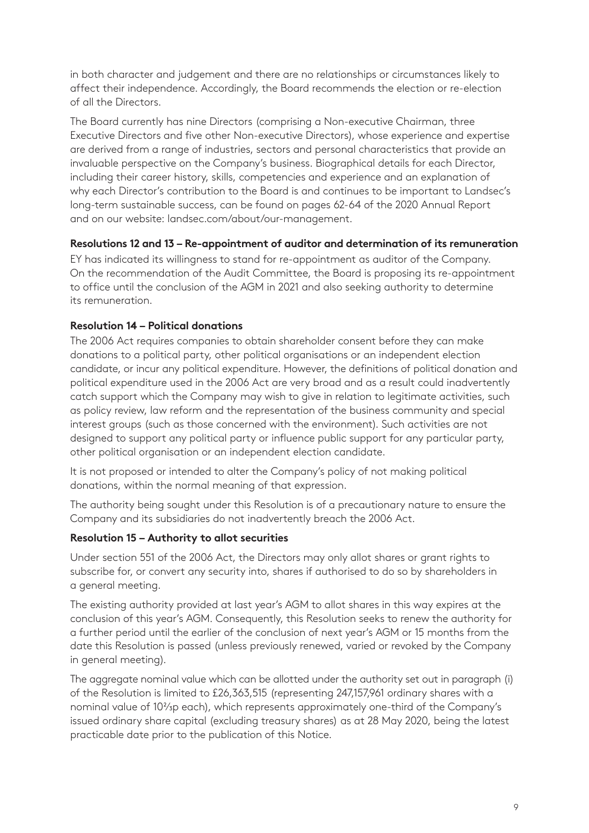in both character and judgement and there are no relationships or circumstances likely to affect their independence. Accordingly, the Board recommends the election or re-election of all the Directors.

The Board currently has nine Directors (comprising a Non-executive Chairman, three Executive Directors and five other Non-executive Directors), whose experience and expertise are derived from a range of industries, sectors and personal characteristics that provide an invaluable perspective on the Company's business. Biographical details for each Director, including their career history, skills, competencies and experience and an explanation of why each Director's contribution to the Board is and continues to be important to Landsec's long-term sustainable success, can be found on pages 62-64 of the 2020 Annual Report and on our website: landsec.com/about/our-management.

#### **Resolutions 12 and 13 – Re-appointment of auditor and determination of its remuneration**

EY has indicated its willingness to stand for re-appointment as auditor of the Company. On the recommendation of the Audit Committee, the Board is proposing its re-appointment to office until the conclusion of the AGM in 2021 and also seeking authority to determine its remuneration.

#### **Resolution 14 – Political donations**

The 2006 Act requires companies to obtain shareholder consent before they can make donations to a political party, other political organisations or an independent election candidate, or incur any political expenditure. However, the definitions of political donation and political expenditure used in the 2006 Act are very broad and as a result could inadvertently catch support which the Company may wish to give in relation to legitimate activities, such as policy review, law reform and the representation of the business community and special interest groups (such as those concerned with the environment). Such activities are not designed to support any political party or influence public support for any particular party, other political organisation or an independent election candidate.

It is not proposed or intended to alter the Company's policy of not making political donations, within the normal meaning of that expression.

The authority being sought under this Resolution is of a precautionary nature to ensure the Company and its subsidiaries do not inadvertently breach the 2006 Act.

#### **Resolution 15 – Authority to allot securities**

Under section 551 of the 2006 Act, the Directors may only allot shares or grant rights to subscribe for, or convert any security into, shares if authorised to do so by shareholders in a general meeting.

The existing authority provided at last year's AGM to allot shares in this way expires at the conclusion of this year's AGM. Consequently, this Resolution seeks to renew the authority for a further period until the earlier of the conclusion of next year's AGM or 15 months from the date this Resolution is passed (unless previously renewed, varied or revoked by the Company in general meeting).

The aggregate nominal value which can be allotted under the authority set out in paragraph (i) of the Resolution is limited to £26,363,515 (representing 247,157,961 ordinary shares with a nominal value of 102/3p each), which represents approximately one-third of the Company's issued ordinary share capital (excluding treasury shares) as at 28 May 2020, being the latest practicable date prior to the publication of this Notice.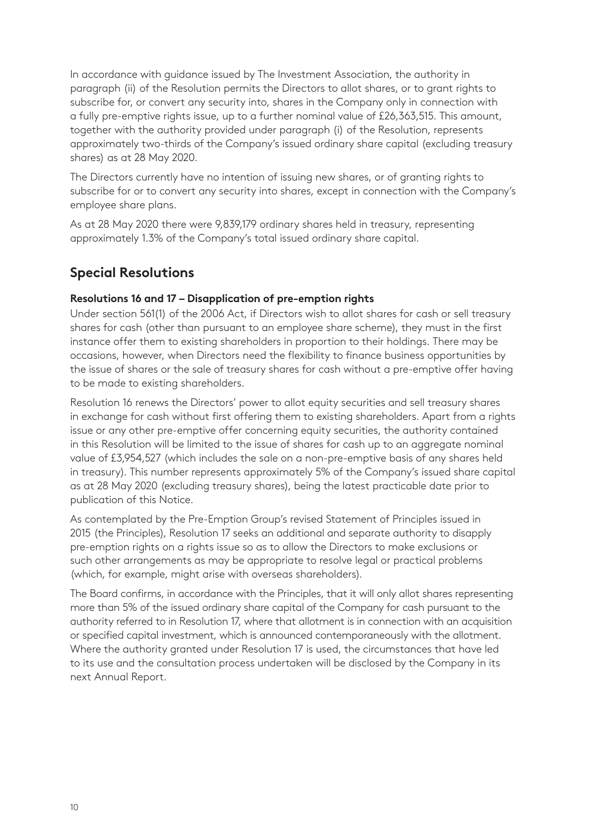In accordance with guidance issued by The Investment Association, the authority in paragraph (ii) of the Resolution permits the Directors to allot shares, or to grant rights to subscribe for, or convert any security into, shares in the Company only in connection with a fully pre-emptive rights issue, up to a further nominal value of £26,363,515. This amount, together with the authority provided under paragraph (i) of the Resolution, represents approximately two-thirds of the Company's issued ordinary share capital (excluding treasury shares) as at 28 May 2020.

The Directors currently have no intention of issuing new shares, or of granting rights to subscribe for or to convert any security into shares, except in connection with the Company's employee share plans.

As at 28 May 2020 there were 9,839,179 ordinary shares held in treasury, representing approximately 1.3% of the Company's total issued ordinary share capital.

## **Special Resolutions**

#### **Resolutions 16 and 17 – Disapplication of pre-emption rights**

Under section 561(1) of the 2006 Act, if Directors wish to allot shares for cash or sell treasury shares for cash (other than pursuant to an employee share scheme), they must in the first instance offer them to existing shareholders in proportion to their holdings. There may be occasions, however, when Directors need the flexibility to finance business opportunities by the issue of shares or the sale of treasury shares for cash without a pre-emptive offer having to be made to existing shareholders.

Resolution 16 renews the Directors' power to allot equity securities and sell treasury shares in exchange for cash without first offering them to existing shareholders. Apart from a rights issue or any other pre-emptive offer concerning equity securities, the authority contained in this Resolution will be limited to the issue of shares for cash up to an aggregate nominal value of £3,954,527 (which includes the sale on a non-pre-emptive basis of any shares held in treasury). This number represents approximately 5% of the Company's issued share capital as at 28 May 2020 (excluding treasury shares), being the latest practicable date prior to publication of this Notice.

As contemplated by the Pre-Emption Group's revised Statement of Principles issued in 2015 (the Principles), Resolution 17 seeks an additional and separate authority to disapply pre-emption rights on a rights issue so as to allow the Directors to make exclusions or such other arrangements as may be appropriate to resolve legal or practical problems (which, for example, might arise with overseas shareholders).

The Board confirms, in accordance with the Principles, that it will only allot shares representing more than 5% of the issued ordinary share capital of the Company for cash pursuant to the authority referred to in Resolution 17, where that allotment is in connection with an acquisition or specified capital investment, which is announced contemporaneously with the allotment. Where the authority granted under Resolution 17 is used, the circumstances that have led to its use and the consultation process undertaken will be disclosed by the Company in its next Annual Report.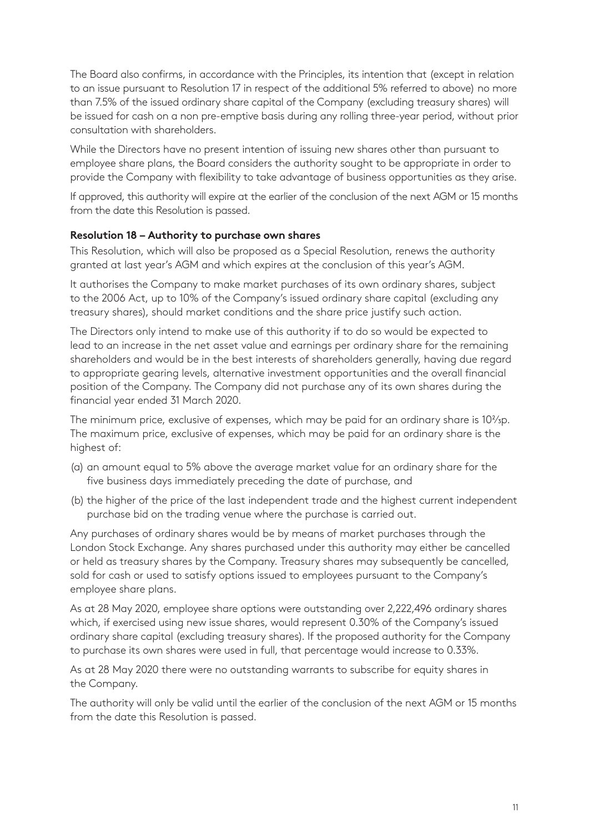The Board also confirms, in accordance with the Principles, its intention that (except in relation to an issue pursuant to Resolution 17 in respect of the additional 5% referred to above) no more than 7.5% of the issued ordinary share capital of the Company (excluding treasury shares) will be issued for cash on a non pre-emptive basis during any rolling three-year period, without prior consultation with shareholders.

While the Directors have no present intention of issuing new shares other than pursuant to employee share plans, the Board considers the authority sought to be appropriate in order to provide the Company with flexibility to take advantage of business opportunities as they arise.

If approved, this authority will expire at the earlier of the conclusion of the next AGM or 15 months from the date this Resolution is passed.

#### **Resolution 18 – Authority to purchase own shares**

This Resolution, which will also be proposed as a Special Resolution, renews the authority granted at last year's AGM and which expires at the conclusion of this year's AGM.

It authorises the Company to make market purchases of its own ordinary shares, subject to the 2006 Act, up to 10% of the Company's issued ordinary share capital (excluding any treasury shares), should market conditions and the share price justify such action.

The Directors only intend to make use of this authority if to do so would be expected to lead to an increase in the net asset value and earnings per ordinary share for the remaining shareholders and would be in the best interests of shareholders generally, having due regard to appropriate gearing levels, alternative investment opportunities and the overall financial position of the Company. The Company did not purchase any of its own shares during the financial year ended 31 March 2020.

The minimum price, exclusive of expenses, which may be paid for an ordinary share is 10<sup>2</sup>/<sub>3</sub>p. The maximum price, exclusive of expenses, which may be paid for an ordinary share is the highest of:

- (a) an amount equal to 5% above the average market value for an ordinary share for the five business days immediately preceding the date of purchase, and
- (b) the higher of the price of the last independent trade and the highest current independent purchase bid on the trading venue where the purchase is carried out.

Any purchases of ordinary shares would be by means of market purchases through the London Stock Exchange. Any shares purchased under this authority may either be cancelled or held as treasury shares by the Company. Treasury shares may subsequently be cancelled, sold for cash or used to satisfy options issued to employees pursuant to the Company's employee share plans.

As at 28 May 2020, employee share options were outstanding over 2,222,496 ordinary shares which, if exercised using new issue shares, would represent 0.30% of the Company's issued ordinary share capital (excluding treasury shares). If the proposed authority for the Company to purchase its own shares were used in full, that percentage would increase to 0.33%.

As at 28 May 2020 there were no outstanding warrants to subscribe for equity shares in the Company.

The authority will only be valid until the earlier of the conclusion of the next AGM or 15 months from the date this Resolution is passed.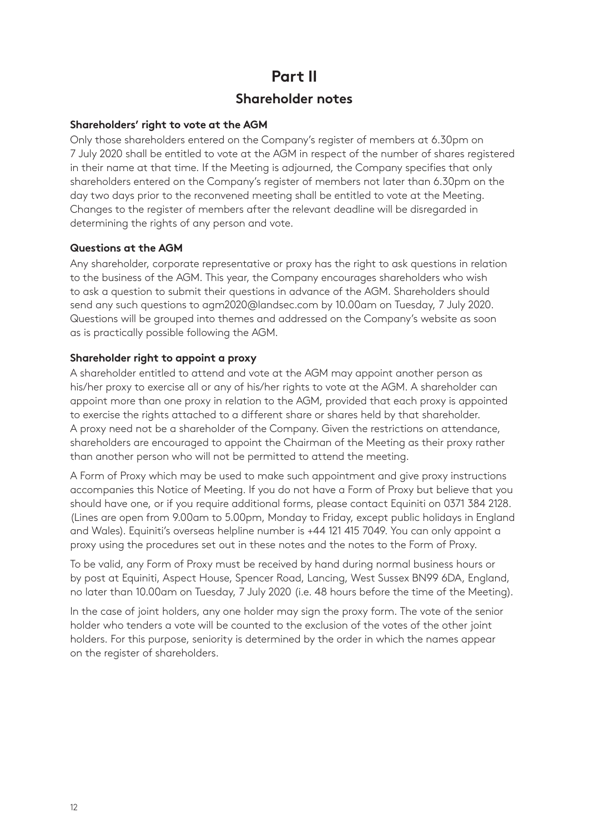## **Part II Shareholder notes**

#### **Shareholders' right to vote at the AGM**

Only those shareholders entered on the Company's register of members at 6.30pm on 7 July 2020 shall be entitled to vote at the AGM in respect of the number of shares registered in their name at that time. If the Meeting is adjourned, the Company specifies that only shareholders entered on the Company's register of members not later than 6.30pm on the day two days prior to the reconvened meeting shall be entitled to vote at the Meeting. Changes to the register of members after the relevant deadline will be disregarded in determining the rights of any person and vote.

#### **Questions at the AGM**

Any shareholder, corporate representative or proxy has the right to ask questions in relation to the business of the AGM. This year, the Company encourages shareholders who wish to ask a question to submit their questions in advance of the AGM. Shareholders should send any such questions to agm2020@landsec.com by 10.00am on Tuesday, 7 July 2020. Questions will be grouped into themes and addressed on the Company's website as soon as is practically possible following the AGM.

#### **Shareholder right to appoint a proxy**

A shareholder entitled to attend and vote at the AGM may appoint another person as his/her proxy to exercise all or any of his/her rights to vote at the AGM. A shareholder can appoint more than one proxy in relation to the AGM, provided that each proxy is appointed to exercise the rights attached to a different share or shares held by that shareholder. A proxy need not be a shareholder of the Company. Given the restrictions on attendance, shareholders are encouraged to appoint the Chairman of the Meeting as their proxy rather than another person who will not be permitted to attend the meeting.

A Form of Proxy which may be used to make such appointment and give proxy instructions accompanies this Notice of Meeting. If you do not have a Form of Proxy but believe that you should have one, or if you require additional forms, please contact Equiniti on 0371 384 2128. (Lines are open from 9.00am to 5.00pm, Monday to Friday, except public holidays in England and Wales). Equiniti's overseas helpline number is +44 121 415 7049. You can only appoint a proxy using the procedures set out in these notes and the notes to the Form of Proxy.

To be valid, any Form of Proxy must be received by hand during normal business hours or by post at Equiniti, Aspect House, Spencer Road, Lancing, West Sussex BN99 6DA, England, no later than 10.00am on Tuesday, 7 July 2020 (i.e. 48 hours before the time of the Meeting).

In the case of joint holders, any one holder may sign the proxy form. The vote of the senior holder who tenders a vote will be counted to the exclusion of the votes of the other joint holders. For this purpose, seniority is determined by the order in which the names appear on the register of shareholders.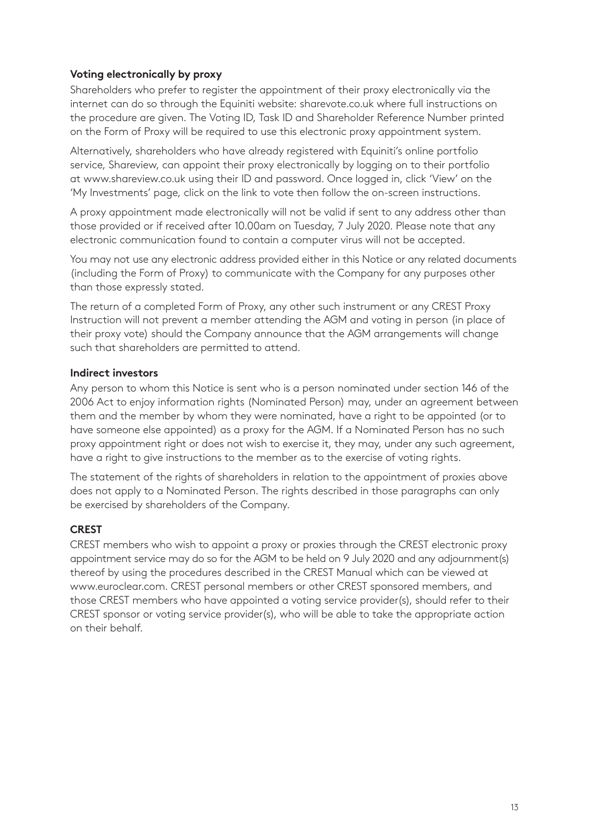#### **Voting electronically by proxy**

Shareholders who prefer to register the appointment of their proxy electronically via the internet can do so through the Equiniti website: sharevote.co.uk where full instructions on the procedure are given. The Voting ID, Task ID and Shareholder Reference Number printed on the Form of Proxy will be required to use this electronic proxy appointment system.

Alternatively, shareholders who have already registered with Equiniti's online portfolio service, Shareview, can appoint their proxy electronically by logging on to their portfolio at www.shareview.co.uk using their ID and password. Once logged in, click 'View' on the 'My Investments' page, click on the link to vote then follow the on-screen instructions.

A proxy appointment made electronically will not be valid if sent to any address other than those provided or if received after 10.00am on Tuesday, 7 July 2020. Please note that any electronic communication found to contain a computer virus will not be accepted.

You may not use any electronic address provided either in this Notice or any related documents (including the Form of Proxy) to communicate with the Company for any purposes other than those expressly stated.

The return of a completed Form of Proxy, any other such instrument or any CREST Proxy Instruction will not prevent a member attending the AGM and voting in person (in place of their proxy vote) should the Company announce that the AGM arrangements will change such that shareholders are permitted to attend.

#### **Indirect investors**

Any person to whom this Notice is sent who is a person nominated under section 146 of the 2006 Act to enjoy information rights (Nominated Person) may, under an agreement between them and the member by whom they were nominated, have a right to be appointed (or to have someone else appointed) as a proxy for the AGM. If a Nominated Person has no such proxy appointment right or does not wish to exercise it, they may, under any such agreement, have a right to give instructions to the member as to the exercise of voting rights.

The statement of the rights of shareholders in relation to the appointment of proxies above does not apply to a Nominated Person. The rights described in those paragraphs can only be exercised by shareholders of the Company.

#### **CREST**

CREST members who wish to appoint a proxy or proxies through the CREST electronic proxy appointment service may do so for the AGM to be held on 9 July 2020 and any adjournment(s) thereof by using the procedures described in the CREST Manual which can be viewed at www.euroclear.com. CREST personal members or other CREST sponsored members, and those CREST members who have appointed a voting service provider(s), should refer to their CREST sponsor or voting service provider(s), who will be able to take the appropriate action on their behalf.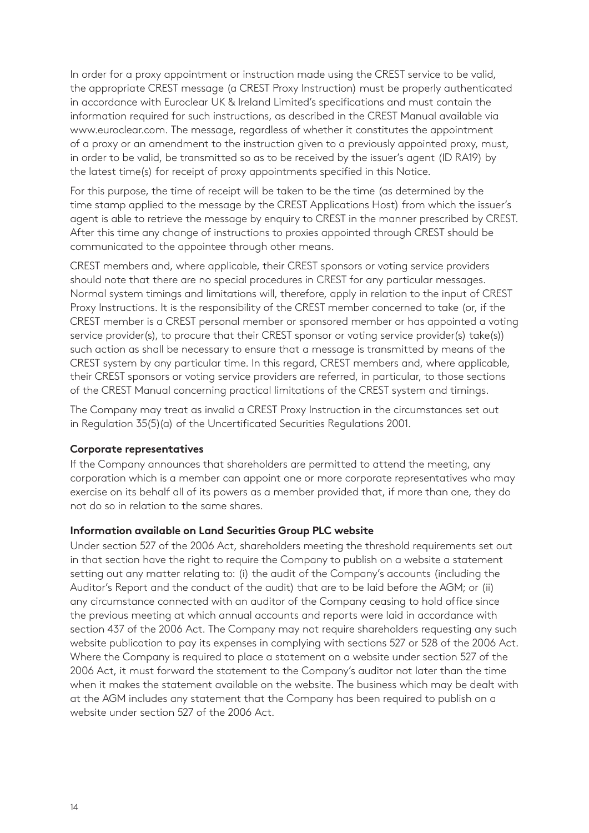In order for a proxy appointment or instruction made using the CREST service to be valid, the appropriate CREST message (a CREST Proxy Instruction) must be properly authenticated in accordance with Euroclear UK & Ireland Limited's specifications and must contain the information required for such instructions, as described in the CREST Manual available via www.euroclear.com. The message, regardless of whether it constitutes the appointment of a proxy or an amendment to the instruction given to a previously appointed proxy, must, in order to be valid, be transmitted so as to be received by the issuer's agent (ID RA19) by the latest time(s) for receipt of proxy appointments specified in this Notice.

For this purpose, the time of receipt will be taken to be the time (as determined by the time stamp applied to the message by the CREST Applications Host) from which the issuer's agent is able to retrieve the message by enquiry to CREST in the manner prescribed by CREST. After this time any change of instructions to proxies appointed through CREST should be communicated to the appointee through other means.

CREST members and, where applicable, their CREST sponsors or voting service providers should note that there are no special procedures in CREST for any particular messages. Normal system timings and limitations will, therefore, apply in relation to the input of CREST Proxy Instructions. It is the responsibility of the CREST member concerned to take (or, if the CREST member is a CREST personal member or sponsored member or has appointed a voting service provider(s), to procure that their CREST sponsor or voting service provider(s) take(s)) such action as shall be necessary to ensure that a message is transmitted by means of the CREST system by any particular time. In this regard, CREST members and, where applicable, their CREST sponsors or voting service providers are referred, in particular, to those sections of the CREST Manual concerning practical limitations of the CREST system and timings.

The Company may treat as invalid a CREST Proxy Instruction in the circumstances set out in Regulation 35(5)(a) of the Uncertificated Securities Regulations 2001.

#### **Corporate representatives**

If the Company announces that shareholders are permitted to attend the meeting, any corporation which is a member can appoint one or more corporate representatives who may exercise on its behalf all of its powers as a member provided that, if more than one, they do not do so in relation to the same shares.

#### **Information available on Land Securities Group PLC website**

Under section 527 of the 2006 Act, shareholders meeting the threshold requirements set out in that section have the right to require the Company to publish on a website a statement setting out any matter relating to: (i) the audit of the Company's accounts (including the Auditor's Report and the conduct of the audit) that are to be laid before the AGM; or (ii) any circumstance connected with an auditor of the Company ceasing to hold office since the previous meeting at which annual accounts and reports were laid in accordance with section 437 of the 2006 Act. The Company may not require shareholders requesting any such website publication to pay its expenses in complying with sections 527 or 528 of the 2006 Act. Where the Company is required to place a statement on a website under section 527 of the 2006 Act, it must forward the statement to the Company's auditor not later than the time when it makes the statement available on the website. The business which may be dealt with at the AGM includes any statement that the Company has been required to publish on a website under section 527 of the 2006 Act.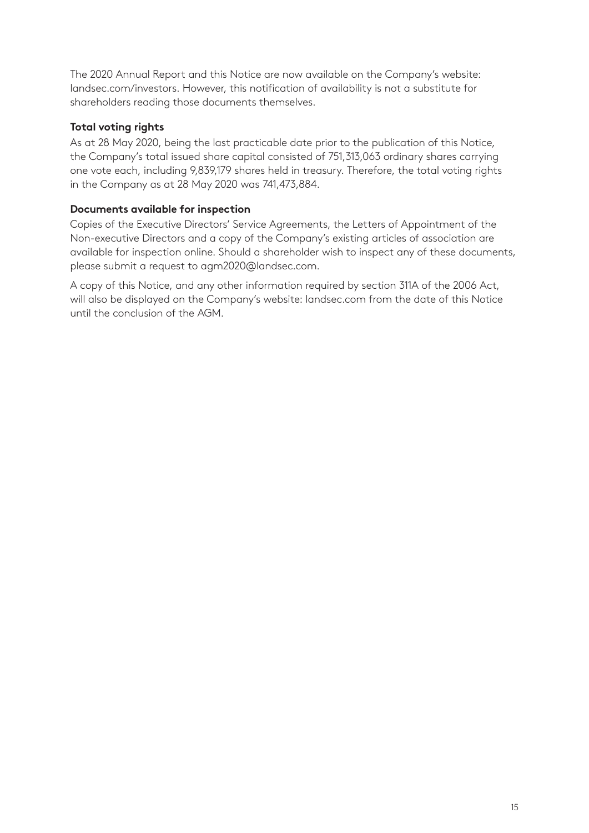The 2020 Annual Report and this Notice are now available on the Company's website: landsec.com/investors. However, this notification of availability is not a substitute for shareholders reading those documents themselves.

#### **Total voting rights**

As at 28 May 2020, being the last practicable date prior to the publication of this Notice, the Company's total issued share capital consisted of 751,313,063 ordinary shares carrying one vote each, including 9,839,179 shares held in treasury. Therefore, the total voting rights in the Company as at 28 May 2020 was 741,473,884.

#### **Documents available for inspection**

Copies of the Executive Directors' Service Agreements, the Letters of Appointment of the Non-executive Directors and a copy of the Company's existing articles of association are available for inspection online. Should a shareholder wish to inspect any of these documents, please submit a request to agm2020@landsec.com.

A copy of this Notice, and any other information required by section 311A of the 2006 Act, will also be displayed on the Company's website: landsec.com from the date of this Notice until the conclusion of the AGM.